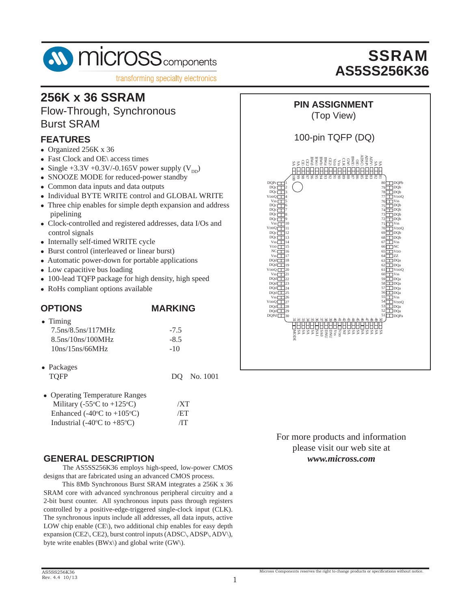

## **256K x 36 SSRAM**

Flow-Through, Synchronous Burst SRAM

#### **FEATURES**

- Organized 256K x 36
- Fast Clock and OE\ access times
- Single +3.3V +0.3V/-0.165V power supply  $(V_{DD})$
- SNOOZE MODE for reduced-power standby
- Common data inputs and data outputs
- Individual BYTE WRITE control and GLOBAL WRITE
- Three chip enables for simple depth expansion and address pipelining
- Clock-controlled and registered addresses, data I/Os and control signals
- Internally self-timed WRITE cycle
- Burst control (interleaved or linear burst)
- Automatic power-down for portable applications
- Low capacitive bus loading
- 100-lead TQFP package for high density, high speed
- RoHs compliant options available

### **OPTIONS MARKING**

| $\bullet$ Timing      |        |
|-----------------------|--------|
| $7.5$ ns/8.5ns/117MHz | $-75$  |
| $8.5$ ns/10ns/100MHz  | $-8.5$ |
| 10ns/15ns/66MHz       | $-10$  |

| $\bullet$ Packages |  |             |
|--------------------|--|-------------|
| TOFP               |  | DQ No. 1001 |

| • Operating Temperature Ranges                             |     |
|------------------------------------------------------------|-----|
| Military (-55 $\rm{^{\circ}C}$ to +125 $\rm{^{\circ}C}$ )  | /XT |
| Enhanced $(-40^{\circ}C \text{ to } +105^{\circ}C)$        | /ET |
| Industrial (-40 $\rm{^{\circ}C}$ to +85 $\rm{^{\circ}C}$ ) | /IT |

#### **GENERAL DESCRIPTION**

 The AS5SS256K36 employs high-speed, low-power CMOS designs that are fabricated using an advanced CMOS process.

 This 8Mb Synchronous Burst SRAM integrates a 256K x 36 SRAM core with advanced synchronous peripheral circuitry and a 2-bit burst counter. All synchronous inputs pass through registers controlled by a positive-edge-triggered single-clock input (CLK). The synchronous inputs include all addresses, all data inputs, active LOW chip enable (CE\), two additional chip enables for easy depth expansion (CE2\, CE2), burst control inputs (ADSC\, ADSP\, ADV\), byte write enables  $(BWx)$  and global write  $(GW)$ .



## **PIN ASSIGNMENT**

(Top View)

#### 100-pin TQFP (DQ)



For more products and information please visit our web site at *www.micross.com*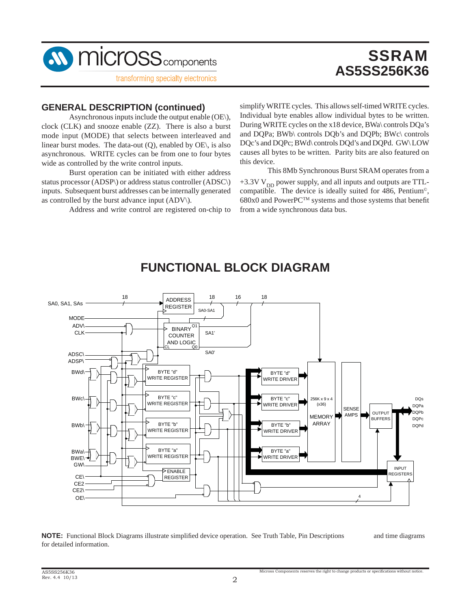

# **SSRAM AS5SS256K36**

#### **GENERAL DESCRIPTION (continued)**

 Asynchronous inputs include the output enable (OE\), clock (CLK) and snooze enable (ZZ). There is also a burst mode input (MODE) that selects between interleaved and linear burst modes. The data-out  $(Q)$ , enabled by  $OE$ , is also asynchronous. WRITE cycles can be from one to four bytes wide as controlled by the write control inputs.

 Burst operation can be initiated with either address status processor (ADSP\) or address status controller (ADSC\) inputs. Subsequent burst addresses can be internally generated as controlled by the burst advance input (ADV\).

Address and write control are registered on-chip to

simplify WRITE cycles. This allows self-timed WRITE cycles. Individual byte enables allow individual bytes to be written. During WRITE cycles on the x18 device, BWa\ controls DQa's and DQPa; BWb\ controls DQb's and DQPb; BWc\ controls DQc's and DQPc; BWd\ controls DQd's and DQPd. GW\ LOW causes all bytes to be written. Parity bits are also featured on this device.

 This 8Mb Synchronous Burst SRAM operates from a  $+3.3V V<sub>DD</sub>$  power supply, and all inputs and outputs are TTLcompatible. The device is ideally suited for 486, Pentium©,  $680x0$  and PowerPC<sup>TM</sup> systems and those systems that benefit from a wide synchronous data bus.



## **FUNCTIONAL BLOCK DIAGRAM**

**NOTE:** Functional Block Diagrams illustrate simplified device operation. See Truth Table, Pin Descriptions and time diagrams for detailed information.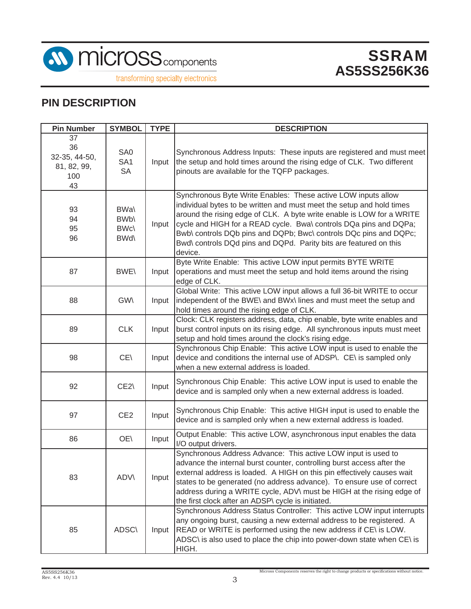

transforming specialty electronics

## **PIN DESCRIPTION**

| <b>Pin Number</b>                                     | <b>SYMBOL</b>                                       | <b>TYPE</b> | <b>DESCRIPTION</b>                                                                                                                                                                                                                                                                                                                                                                                                                        |
|-------------------------------------------------------|-----------------------------------------------------|-------------|-------------------------------------------------------------------------------------------------------------------------------------------------------------------------------------------------------------------------------------------------------------------------------------------------------------------------------------------------------------------------------------------------------------------------------------------|
| 37<br>36<br>32-35, 44-50,<br>81, 82, 99,<br>100<br>43 | SA0<br>SA <sub>1</sub><br><b>SA</b>                 | Input       | Synchronous Address Inputs: These inputs are registered and must meet<br>the setup and hold times around the rising edge of CLK. Two different<br>pinouts are available for the TQFP packages.                                                                                                                                                                                                                                            |
| 93<br>94<br>95<br>96                                  | <b>BWa</b><br>BW <sub>b</sub><br>BWc\<br><b>BWd</b> | Input       | Synchronous Byte Write Enables: These active LOW inputs allow<br>individual bytes to be written and must meet the setup and hold times<br>around the rising edge of CLK. A byte write enable is LOW for a WRITE<br>cycle and HIGH for a READ cycle. Bwa\ controls DQa pins and DQPa;<br>Bwb\ controls DQb pins and DQPb; Bwc\ controls DQc pins and DQPc;<br>Bwd\ controls DQd pins and DQPd. Parity bits are featured on this<br>device. |
| 87                                                    | <b>BWE\</b>                                         | Input       | Byte Write Enable: This active LOW input permits BYTE WRITE<br>operations and must meet the setup and hold items around the rising<br>edge of CLK.                                                                                                                                                                                                                                                                                        |
| 88                                                    | <b>GWV</b>                                          | Input       | Global Write: This active LOW input allows a full 36-bit WRITE to occur<br>independent of the BWE\ and BWx\ lines and must meet the setup and<br>hold times around the rising edge of CLK.                                                                                                                                                                                                                                                |
| 89                                                    | <b>CLK</b>                                          | Input       | Clock: CLK registers address, data, chip enable, byte write enables and<br>burst control inputs on its rising edge. All synchronous inputs must meet<br>setup and hold times around the clock's rising edge.                                                                                                                                                                                                                              |
| 98                                                    | CE\                                                 | Input       | Synchronous Chip Enable: This active LOW input is used to enable the<br>device and conditions the internal use of ADSP\. CE\ is sampled only<br>when a new external address is loaded.                                                                                                                                                                                                                                                    |
| 92                                                    | CE2\                                                | Input       | Synchronous Chip Enable: This active LOW input is used to enable the<br>device and is sampled only when a new external address is loaded.                                                                                                                                                                                                                                                                                                 |
| 97                                                    | CE <sub>2</sub>                                     | Input       | Synchronous Chip Enable: This active HIGH input is used to enable the<br>device and is sampled only when a new external address is loaded.                                                                                                                                                                                                                                                                                                |
| 86                                                    | OE\                                                 | Input       | Output Enable: This active LOW, asynchronous input enables the data<br>I/O output drivers.                                                                                                                                                                                                                                                                                                                                                |
| 83                                                    | <b>ADV\</b>                                         | Input       | Synchronous Address Advance: This active LOW input is used to<br>advance the internal burst counter, controlling burst access after the<br>external address is loaded. A HIGH on this pin effectively causes wait<br>states to be generated (no address advance). To ensure use of correct<br>address during a WRITE cycle, ADV\ must be HIGH at the rising edge of<br>the first clock after an ADSP\ cycle is initiated.                 |
| 85                                                    | <b>ADSC\</b>                                        | Input       | Synchronous Address Status Controller: This active LOW input interrupts<br>any ongoing burst, causing a new external address to be registered. A<br>READ or WRITE is performed using the new address if CE\ is LOW.<br>ADSC\ is also used to place the chip into power-down state when CE\ is<br>HIGH.                                                                                                                                    |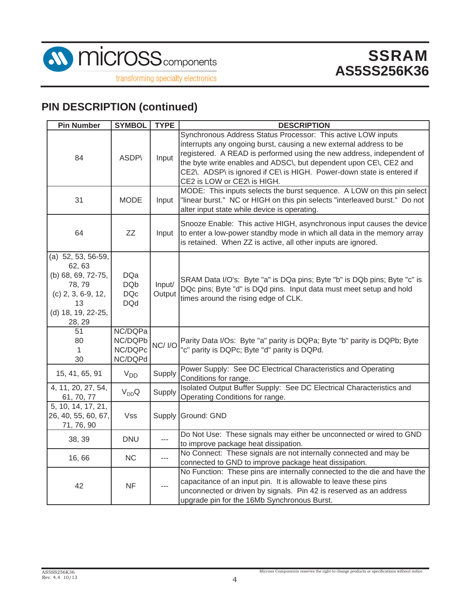

## **PIN DESCRIPTION (continued)**

| <b>Pin Number</b>                                                                                                          | <b>SYMBOL</b>                                        | <b>TYPE</b>      | <b>DESCRIPTION</b>                                                                                                                                                                                                                                                                                                                                                                       |
|----------------------------------------------------------------------------------------------------------------------------|------------------------------------------------------|------------------|------------------------------------------------------------------------------------------------------------------------------------------------------------------------------------------------------------------------------------------------------------------------------------------------------------------------------------------------------------------------------------------|
| 84                                                                                                                         | ASDP\                                                | Input            | Synchronous Address Status Processor: This active LOW inputs<br>interrupts any ongoing burst, causing a new external address to be<br>registered. A READ is performed using the new address, independent of<br>the byte write enables and ADSC\, but dependent upon CE\, CE2 and<br>CE2\. ADSP\ is ignored if CE\ is HIGH. Power-down state is entered if<br>CE2 is LOW or CE2\ is HIGH. |
| 31                                                                                                                         | <b>MODE</b>                                          | Input            | MODE: This inputs selects the burst sequence. A LOW on this pin select<br>"linear burst." NC or HIGH on this pin selects "interleaved burst." Do not<br>alter input state while device is operating.                                                                                                                                                                                     |
| 64                                                                                                                         | ZZ                                                   | Input            | Snooze Enable: This active HIGH, asynchronous input causes the device<br>to enter a low-power standby mode in which all data in the memory array<br>is retained. When ZZ is active, all other inputs are ignored.                                                                                                                                                                        |
| (a) 52, 53, 56-59,<br>62, 63<br>(b) 68, 69, 72-75,<br>78, 79<br>$(c)$ 2, 3, 6-9, 12,<br>13<br>(d) 18, 19, 22-25,<br>28, 29 | <b>DQa</b><br><b>DQb</b><br><b>DQc</b><br><b>DQd</b> | Input/<br>Output | SRAM Data I/O's: Byte "a" is DQa pins; Byte "b" is DQb pins; Byte "c" is<br>DQc pins; Byte "d" is DQd pins. Input data must meet setup and hold<br>times around the rising edge of CLK.                                                                                                                                                                                                  |
| 51<br>80<br>$\mathbf{1}$<br>30                                                                                             | NC/DQPa<br>NC/DQPb<br>NC/DQPc<br>NC/DQPd             | NC/ I/O          | Parity Data I/Os: Byte "a" parity is DQPa; Byte "b" parity is DQPb; Byte<br>"c" parity is DQPc; Byte "d" parity is DQPd.                                                                                                                                                                                                                                                                 |
| 15, 41, 65, 91                                                                                                             | $V_{DD}$                                             | Supply           | Power Supply: See DC Electrical Characteristics and Operating<br>Conditions for range.                                                                                                                                                                                                                                                                                                   |
| 4, 11, 20, 27, 54,<br>61, 70, 77                                                                                           | $V_{DD}Q$                                            | Supply           | Isolated Output Buffer Supply: See DC Electrical Characteristics and<br>Operating Conditions for range.                                                                                                                                                                                                                                                                                  |
| 5, 10, 14, 17, 21,<br>26, 40, 55, 60, 67,<br>71, 76, 90                                                                    | <b>Vss</b>                                           |                  | Supply Ground: GND                                                                                                                                                                                                                                                                                                                                                                       |
| 38, 39                                                                                                                     | <b>DNU</b>                                           | ---              | Do Not Use: These signals may either be unconnected or wired to GND<br>to improve package heat dissipation.                                                                                                                                                                                                                                                                              |
| 16,66                                                                                                                      | NC                                                   | $\overline{a}$   | No Connect: These signals are not internally connected and may be<br>connected to GND to improve package heat dissipation.                                                                                                                                                                                                                                                               |
| 42                                                                                                                         | <b>NF</b>                                            |                  | No Function: These pins are internally connected to the die and have the<br>capacitance of an input pin. It is allowable to leave these pins<br>unconnected or driven by signals. Pin 42 is reserved as an address<br>upgrade pin for the 16Mb Synchronous Burst.                                                                                                                        |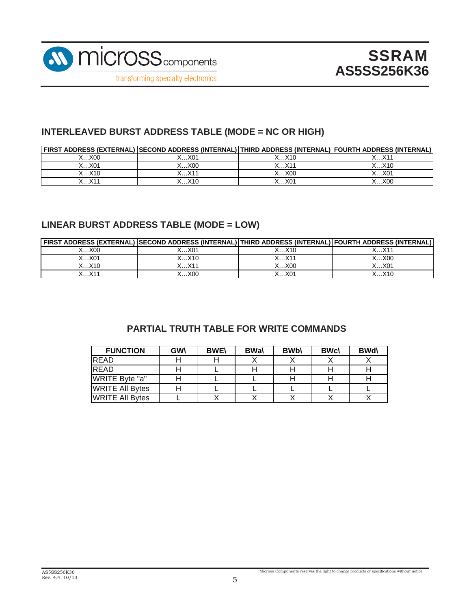

### **INTERLEAVED BURST ADDRESS TABLE (MODE = NC OR HIGH)**

|                                   | FIRST ADDRESS (EXTERNAL) SECOND ADDRESS (INTERNAL) THIRD ADDRESS (INTERNAL) FOURTH ADDRESS (INTERNAL) |                         |       |
|-----------------------------------|-------------------------------------------------------------------------------------------------------|-------------------------|-------|
| $\langle \dots \times 00 \rangle$ | ∡…X01                                                                                                 | ረX10                    |       |
| X…X01                             | X00                                                                                                   | $\ldots$ . $X1'$        | X…X10 |
| X…X10                             | $\vee$                                                                                                | X…X00                   | K…X01 |
|                                   | . . X1C                                                                                               | $\dots$ X0 <sup>4</sup> | XOC   |

### **LINEAR BURST ADDRESS TABLE (MODE = LOW)**

|               | FIRST ADDRESS (EXTERNAL)   SECOND ADDRESS (INTERNAL)   THIRD ADDRESS (INTERNAL)   FOURTH ADDRESS (INTERNAL) |                  |       |
|---------------|-------------------------------------------------------------------------------------------------------------|------------------|-------|
| $\ldots$ .XOO | .01                                                                                                         | ∕…X10            |       |
| ∕.…X01        | . X10                                                                                                       | $\ldots$ . $X1'$ | X00   |
| X…X10         | $\vee$ <sub>4</sub>                                                                                         | $\dots$ X00      | X…X01 |
| v1,           | X0C                                                                                                         | X01              |       |

### **PARTIAL TRUTH TABLE FOR WRITE COMMANDS**

| <b>FUNCTION</b>        | <b>GWV</b> | <b>BWE\</b> | <b>BWal</b> | <b>BWb\</b> | <b>BWc\</b> | <b>BWd\</b> |
|------------------------|------------|-------------|-------------|-------------|-------------|-------------|
| <b>READ</b>            |            |             |             |             |             |             |
| <b>READ</b>            |            |             |             |             |             |             |
| WRITE Byte "a"         |            |             |             |             |             |             |
| <b>WRITE All Bytes</b> |            |             |             |             |             |             |
| <b>WRITE All Bytes</b> |            |             |             |             |             |             |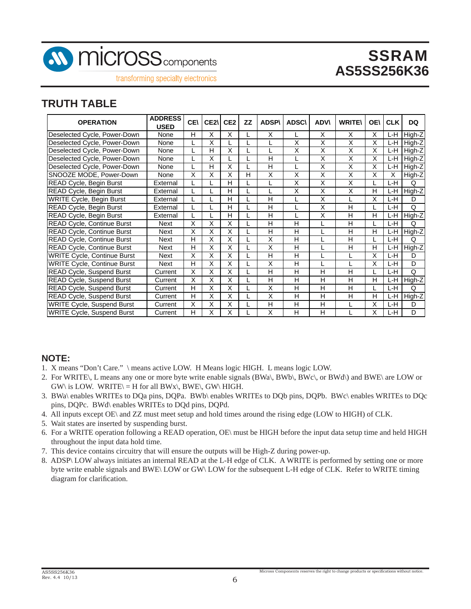

transforming specialty electronics

### **TRUTH TABLE**

| <b>OPERATION</b>                   | <b>ADDRESS</b><br><b>USED</b> | <b>CE</b> | CE <sub>2</sub> | CE <sub>2</sub> | <b>ZZ</b> | <b>ADSP\</b> | <b>ADSC\</b> | <b>ADV\</b> | <b>WRITE\</b> | <b>OE\</b> | <b>CLK</b> | DQ     |
|------------------------------------|-------------------------------|-----------|-----------------|-----------------|-----------|--------------|--------------|-------------|---------------|------------|------------|--------|
| Deselected Cycle, Power-Down       | None                          | H         | Χ               | Χ               |           | X            |              | X           | X             | X          | L-H        | High-Z |
| Deselected Cycle, Power-Down       | None                          |           | Χ               |                 |           |              | Χ            | Χ           | X             | X          | L-H        | High-Z |
| Deselected Cycle, Power-Down       | None                          |           | H               | Χ               |           |              | X            | X           | X             | Χ          | L-H        | High-Z |
| Deselected Cycle, Power-Down       | None                          |           | X               |                 |           | н            |              | X           | X             | X          | L-H        | High-Z |
| Deselected Cycle, Power-Down       | None                          |           | н               | Χ               |           | н            |              | X           | X             | X          | L-H        | High-Z |
| SNOOZE MODE, Power-Down            | None                          | X         | X               | X               | н         | X            | X            | Χ           | X             | X          | X          | High-Z |
| <b>READ Cycle, Begin Burst</b>     | External                      |           |                 | Н               |           |              | X            | X           | X             |            | L-H        | Q      |
| READ Cycle, Begin Burst            | External                      |           |                 | н               |           |              | X            | X           | X             | н          | L-H        | High-Z |
| <b>WRITE Cycle, Begin Burst</b>    | External                      |           |                 | H               |           | н            |              | X           |               | X          | L-H        | D      |
| READ Cycle, Begin Burst            | External                      |           |                 | Н               |           | н            |              | X           | H             |            | L-H        | Q      |
| <b>READ Cycle, Begin Burst</b>     | External                      |           |                 | Н               |           | H            |              | X           | H             | Н          | L-H        | High-Z |
| READ Cycle, Continue Burst         | <b>Next</b>                   | X         | X               | X               |           | н            | н            |             | H             |            | L-H        | Q      |
| READ Cycle, Continue Burst         | <b>Next</b>                   | Χ         | X               | X               |           | H            | H            |             | H             | н          | L-H        | High-Z |
| <b>READ Cycle, Continue Burst</b>  | Next                          | H         | X               | X               |           | X            | н            |             | H             |            | L-H        | Q      |
| READ Cycle, Continue Burst         | Next                          | н         | X               | X               |           | X            | н            |             | H             | н          | L-H        | High-Z |
| <b>WRITE Cycle, Continue Burst</b> | Next                          | X         | X               | X               |           | H            | н            |             |               | X          | L-H        | D      |
| <b>WRITE Cycle, Continue Burst</b> | <b>Next</b>                   | Н         | X               | X               |           | X            | н            |             |               | X          | L-H        | D      |
| <b>READ Cycle, Suspend Burst</b>   | Current                       | Χ         | Χ               | X               |           | н            | н            | H           | H             |            | L-H        | Q      |
| <b>READ Cycle, Suspend Burst</b>   | Current                       | X         | X               | X               |           | Н            | н            | Н           | н             | н          | L-H        | High-Z |
| <b>READ Cycle, Suspend Burst</b>   | Current                       | н         | X               | X               |           | X            | н            | н           | н             |            | L-H        | Q      |
| READ Cycle, Suspend Burst          | Current                       | н         | X               | X               |           | X            | н            | H           | н             | н          | ĿH         | High-Z |
| <b>WRITE Cycle, Suspend Burst</b>  | Current                       | X         | Χ               | X               |           | н            | Н            | Н           |               | X          | L-H        | D      |
| <b>WRITE Cycle, Suspend Burst</b>  | Current                       | H         | Χ               | Χ               |           | Χ            | Н            | н           |               | Χ          | L-H        | D      |

#### **NOTE:**

- 1. X means "Don't Care." \ means active LOW. H Means logic HIGH. L means logic LOW.
- 2. For WRITE\, L means any one or more byte write enable signals (BWa\, BWb\, BWc\, or BWd\) and BWE\ are LOW or  $GW\$  is LOW. WRITE $\rangle = H$  for all BWx $\rangle$ , BWE $\rangle$ , GW $\rangle$  HIGH.
- 3. BWa\ enables WRITEs to DQa pins, DQPa. BWb\ enables WRITEs to DQb pins, DQPb. BWc\ enables WRITEs to DQc pins, DQPc. BWd\ enables WRITEs to DQd pins, DQPd.
- 4. All inputs except OE\ and ZZ must meet setup and hold times around the rising edge (LOW to HIGH) of CLK.
- 5. Wait states are inserted by suspending burst.
- 6. For a WRITE operation following a READ operation, OE\ must be HIGH before the input data setup time and held HIGH throughout the input data hold time.
- 7. This device contains circuitry that will ensure the outputs will be High-Z during power-up.
- 8. ADSP\ LOW always initiates an internal READ at the L-H edge of CLK. A WRITE is performed by setting one or more byte write enable signals and BWE\ LOW or GW\ LOW for the subsequent L-H edge of CLK. Refer to WRITE timing diagram for clarification.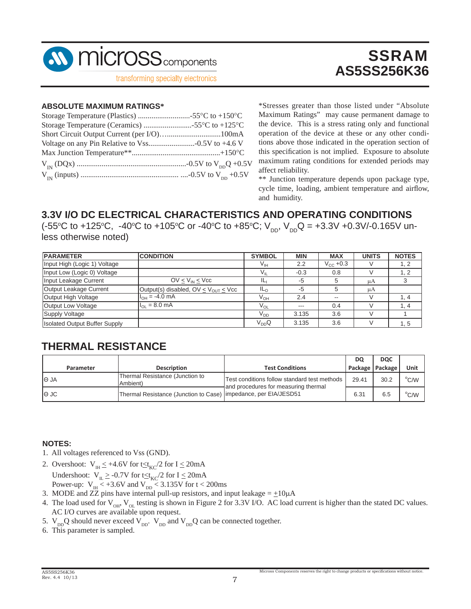

# SSRAM **AS5SS256K36**

#### **ABSOLUTE MAXIMUM RATINGS\***

\*Stresses greater than those listed under "Absolute Maximum Ratings" may cause permanent damage to the device. This is a stress rating only and functional operation of the device at these or any other conditions above those indicated in the operation section of this specification is not implied. Exposure to absolute maximum rating conditions for extended periods may affect reliability.

\*\* Junction temperature depends upon package type, cycle time, loading, ambient temperature and airflow, and humidity.

### **3.3V I/O DC ELECTRICAL CHARACTERISTICS AND OPERATING CONDITIONS**

(-55°C to +125°C, -40°C to +105°C or -40°C to +85°C;  $V_{DD}$ ,  $V_{DD}$ Q = +3.3V +0.3V/-0.165V unless otherwise noted)

| <b>PARAMETER</b>                     | <b>CONDITION</b>                            | <b>SYMBOL</b>   | <b>MIN</b> | <b>MAX</b>           | <b>UNITS</b> | <b>NOTES</b>   |
|--------------------------------------|---------------------------------------------|-----------------|------------|----------------------|--------------|----------------|
| Input High (Logic 1) Voltage         |                                             | Vıн             | 2.2        | $V_{\text{CC}}$ +0.3 |              | 1, 2           |
| Input Low (Logic 0) Voltage          |                                             | $V_{\rm II}$    | $-0.3$     | 0.8                  |              |                |
| Input Leakage Current                | $OV < V_{IN} < V_{CC}$                      | IL,             | $-5$       | 5                    | uA           |                |
| Output Leakage Current               | Output(s) disabled, $OV < V_{OUT} < V_{CC}$ | IL <sub>O</sub> | $-5$       | 5                    | μA           |                |
| Output High Voltage                  | $I_{OH} = -4.0$ mA                          | V <sub>он</sub> | 2.4        | $- -$                |              | 1.4            |
| Output Low Voltage                   | $I_{\Omega} = 8.0 \text{ mA}$               | $V_{OL}$        | $- - -$    | 0.4                  |              | $\overline{4}$ |
| <b>Supply Voltage</b>                |                                             | V <sub>DD</sub> | 3.135      | 3.6                  |              |                |
| <b>Isolated Output Buffer Supply</b> |                                             | $V_{DD}Q$       | 3.135      | 3.6                  |              | 1, 5           |

### **THERMAL RESISTANCE**

|             |                                                                  |                                                                                      | DQ                | <b>DOC</b> |                |
|-------------|------------------------------------------------------------------|--------------------------------------------------------------------------------------|-------------------|------------|----------------|
| Parameter   | <b>Description</b>                                               | <b>Test Conditions</b>                                                               | Package   Package |            | Unit           |
| $\Theta$ JA | Thermal Resistance (Junction to<br>Ambient)                      | Test conditions follow standard test methods<br>and procedures for measuring thermal | 29.41             | 30.2       | $\rm ^{o}$ C/W |
| $\Theta$ JC | Thermal Resistance (Junction to Case) limpedance, per EIA/JESD51 |                                                                                      | 6.31              | 6.5        | $^{\circ}$ C/W |

#### **NOTES:**

- 1. All voltages referenced to Vss (GND).
- 2. Overshoot:  $V_{\text{H}} \leq +4.6V$  for  $t \leq t_{\text{KC}}/2$  for  $I \leq 20 \text{ mA}$ Undershoot:  $V_{IL} \ge -0.7V$  for  $t \le t_{KC} / 2$  for  $I \le 20mA$ Power-up:  $V_{\text{H}} \le +3.6V$  and  $V_{\text{DD}} \le 3.135V$  for t < 200ms
- 3. MODE and ZZ pins have internal pull-up resistors, and input leakage =  $\pm 10\mu A$
- 4. The load used for  $V_{OH}$ ,  $V_{OL}$  testing is shown in Figure 2 for 3.3V I/O. AC load current is higher than the stated DC values. AC I/O curves are available upon request.
- 5.  $V_{DD}Q$  should never exceed  $V_{DD}$ .  $V_{DD}$  and  $V_{DD}Q$  can be connected together.
- 6. This parameter is sampled.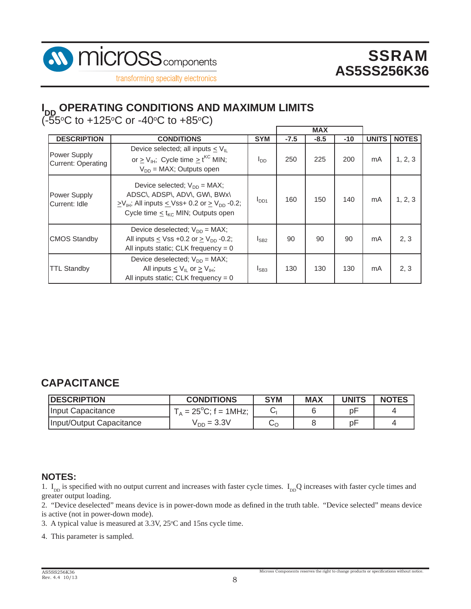



# **I<sub>DD</sub> OPERATING CONDITIONS AND MAXIMUM LIMITS**

 $($ -55 $\rm{^{\circ}C}$  to +125 $\rm{^{\circ}C}$  or -40 $\rm{^{\circ}C}$  to +85 $\rm{^{\circ}C}$ )

|                                                  |                                                                                                                                                                                                                 |                 |        | <b>MAX</b> |       |              |              |
|--------------------------------------------------|-----------------------------------------------------------------------------------------------------------------------------------------------------------------------------------------------------------------|-----------------|--------|------------|-------|--------------|--------------|
| <b>DESCRIPTION</b>                               | <b>CONDITIONS</b>                                                                                                                                                                                               | <b>SYM</b>      | $-7.5$ | $-8.5$     | $-10$ | <b>UNITS</b> | <b>NOTES</b> |
| <b>Power Supply</b><br><b>Current: Operating</b> | Device selected; all inputs $\leq V_{\parallel}$<br>or $\geq$ V <sub>IH</sub> ; Cycle time $\geq$ t <sup>KC</sup> MIN;<br>$V_{DD}$ = MAX; Outputs open                                                          | l <sub>DD</sub> | 250    | 225        | 200   | mA           | 1, 2, 3      |
| <b>Power Supply</b><br>Current: Idle             | Device selected; $V_{DD}$ = MAX;<br>ADSC\, ADSP\, ADV\, GW\, BWx\<br>$\geq$ V <sub>IH</sub> ; All inputs $\leq$ Vss+ 0.2 or $\geq$ V <sub>DD</sub> -0.2;<br>Cycle time $\leq$ t <sub>kC</sub> MIN; Outputs open | $I_{DD1}$       | 160    | 150        | 140   | mA           | 1, 2, 3      |
| <b>CMOS Standby</b>                              | Device deselected; $V_{DD} = MAX$ ;<br>All inputs $\leq$ Vss +0.2 or $\geq$ V <sub>DD</sub> -0.2;<br>All inputs static; CLK frequency = $0$                                                                     | $I_{SB2}$       | 90     | 90         | 90    | mA           | 2, 3         |
| <b>TTL Standby</b>                               | Device deselected; $V_{DD} = MAX;$<br>All inputs $\leq$ V <sub>II</sub> or $\geq$ V <sub>IH</sub> ;<br>All inputs static; CLK frequency = $0$                                                                   | $I_{SB3}$       | 130    | 130        | 130   | mA           | 2, 3         |

## **CAPACITANCE**

| <b>DESCRIPTION</b>       | <b>CONDITIONS</b>               | <b>SYM</b> | <b>MAX</b> | <b>UNITS</b> | <b>NOTES</b> |
|--------------------------|---------------------------------|------------|------------|--------------|--------------|
| Input Capacitance        | $T_A = 25^{\circ}C$ ; f = 1MHz; |            |            | рF           |              |
| Input/Output Capacitance | $V_{DD} = 3.3V$                 | ⊵ດ         |            | p⊦           |              |

#### **NOTES:**

1.  $I_{DD}$  is specified with no output current and increases with faster cycle times.  $I_{DD}Q$  increases with faster cycle times and greater output loading.

2. "Device deselected" means device is in power-down mode as defined in the truth table. "Device selected" means device is active (not in power-down mode).

3. A typical value is measured at  $3.3V$ ,  $25^{\circ}$ C and  $15$ ns cycle time.

4. This parameter is sampled.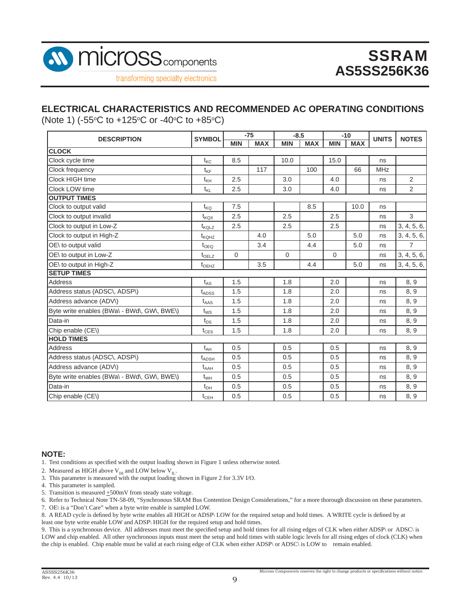

### **ELECTRICAL CHARACTERISTICS AND RECOMMENDED AC OPERATING CONDITIONS**

(Note 1) ( $-55^{\circ}$ C to  $+125^{\circ}$ C or  $-40^{\circ}$ C to  $+85^{\circ}$ C)

| <b>DESCRIPTION</b>                          | <b>SYMBOL</b>     | $-75$      |            | $-8.5$     |            | $-10$      |            | <b>UNITS</b> | <b>NOTES</b>   |
|---------------------------------------------|-------------------|------------|------------|------------|------------|------------|------------|--------------|----------------|
|                                             |                   | <b>MIN</b> | <b>MAX</b> | <b>MIN</b> | <b>MAX</b> | <b>MIN</b> | <b>MAX</b> |              |                |
| <b>CLOCK</b>                                |                   |            |            |            |            |            |            |              |                |
| Clock cycle time                            | $t_{\text{KC}}$   | 8.5        |            | 10.0       |            | 15.0       |            | ns           |                |
| Clock frequency                             | $t_{\text{KF}}$   |            | 117        |            | 100        |            | 66         | <b>MHz</b>   |                |
| Clock HIGH time                             | $t_{\mathsf{KH}}$ | 2.5        |            | 3.0        |            | 4.0        |            | ns           | 2              |
| Clock LOW time                              | $t_{\mathsf{KL}}$ | 2.5        |            | 3.0        |            | 4.0        |            | ns           | $\overline{2}$ |
| <b>OUTPUT TIMES</b>                         |                   |            |            |            |            |            |            |              |                |
| Clock to output valid                       | $t_{\mathsf{KQ}}$ | 7.5        |            |            | 8.5        |            | 10.0       | ns           |                |
| Clock to output invalid                     | $t_{\text{KQX}}$  | 2.5        |            | 2.5        |            | 2.5        |            | ns           | 3              |
| Clock to output in Low-Z                    | $t_{KQLZ}$        | 2.5        |            | 2.5        |            | 2.5        |            | ns           | 3, 4, 5, 6,    |
| Clock to output in High-Z                   | $t_{\text{KOHZ}}$ |            | 4.0        |            | 5.0        |            | 5.0        | ns           | 3, 4, 5, 6,    |
| OE\ to output valid                         | $t_{\text{OEQ}}$  |            | 3.4        |            | 4.4        |            | 5.0        | ns           | $\overline{7}$ |
| OE\ to output in Low-Z                      | t <sub>OELZ</sub> | $\Omega$   |            | $\Omega$   |            | $\Omega$   |            | ns           | 3, 4, 5, 6,    |
| OE\ to output in High-Z                     | $t_{\text{OEHZ}}$ |            | 3.5        |            | 4.4        |            | 5.0        | ns           | 3, 4, 5, 6,    |
| <b>SETUP TIMES</b>                          |                   |            |            |            |            |            |            |              |                |
| <b>Address</b>                              | $t_{AS}$          | 1.5        |            | 1.8        |            | 2.0        |            | ns           | 8, 9           |
| Address status (ADSC\, ADSP\)               | $t_{\text{ADS}}$  | 1.5        |            | 1.8        |            | 2.0        |            | ns           | 8, 9           |
| Address advance (ADV\)                      | $t_{\text{AAS}}$  | 1.5        |            | 1.8        |            | 2.0        |            | ns           | 8, 9           |
| Byte write enables (BWa\ - BWd\, GW\, BWE\) | $t_{WS}$          | 1.5        |            | 1.8        |            | 2.0        |            | ns           | 8, 9           |
| Data-in                                     | $t_{DS}$          | 1.5        |            | 1.8        |            | 2.0        |            | ns           | 8, 9           |
| Chip enable (CE\)                           | $t_{CES}$         | 1.5        |            | 1.8        |            | 2.0        |            | ns           | 8, 9           |
| <b>HOLD TIMES</b>                           |                   |            |            |            |            |            |            |              |                |
| <b>Address</b>                              | $t_{AH}$          | 0.5        |            | 0.5        |            | 0.5        |            | ns           | 8, 9           |
| Address status (ADSC\, ADSP\)               | $t_{\sf{ADSH}}$   | 0.5        |            | 0.5        |            | 0.5        |            | ns           | 8, 9           |
| Address advance (ADV\)                      | $t_{AAH}$         | 0.5        |            | 0.5        |            | 0.5        |            | ns           | 8, 9           |
| Byte write enables (BWa\ - BWd\, GW\, BWE\) | $t_{WH}$          | 0.5        |            | 0.5        |            | 0.5        |            | ns           | 8, 9           |
| Data-in                                     | $t_{DH}$          | 0.5        |            | 0.5        |            | 0.5        |            | ns           | 8, 9           |
| Chip enable (CE\)                           | $t_{\text{CEH}}$  | 0.5        |            | 0.5        |            | 0.5        |            | ns           | 8, 9           |

#### **NOTE:**

1. Test conditions as specified with the output loading shown in Figure 1 unless otherwise noted.

- 2. Measured as HIGH above  $\rm V_{\rm IH}$  and LOW below  $\rm V_{\rm IL}.$
- 3. This parameter is measured with the output loading shown in Figure 2 for 3.3V I/O.
- 4. This parameter is sampled.
- 5. Transition is measured  $\pm 500$ mV from steady state voltage.
- 6. Refer to Technical Note TN-58-09, "Synchronous SRAM Bus Contention Design Considerations," for a more thorough discussion on these parameters.
- 7. OE\ is a "Don't Care" when a byte write enable is sampled LOW.

8. A READ cycle is defined by byte write enables all HIGH or ADSP\ LOW for the required setup and hold times. A WRITE cycle is defined by at

least one byte write enable LOW and ADSP\ HIGH for the required setup and hold times.

9. This is a synchronous device. All addresses must meet the specified setup and hold times for all rising edges of CLK when either ADSP\ or ADSC\ is LOW and chip enabled. All other synchronous inputs must meet the setup and hold times with stable logic levels for all rising edges of clock (CLK) when the chip is enabled. Chip enable must be valid at each rising edge of CLK when either ADSP\ or ADSC\ is LOW to remain enabled.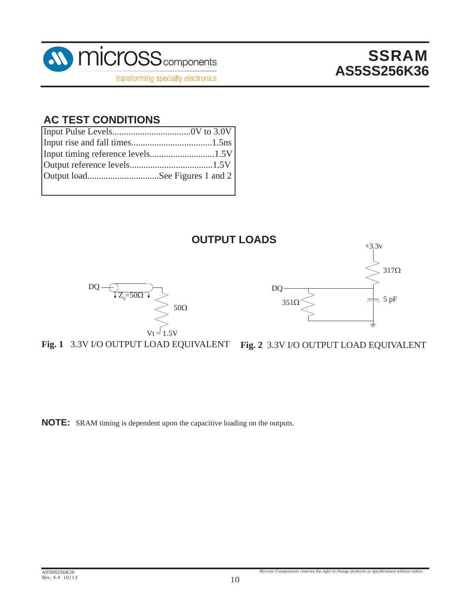

# SSRAM **AS5SS256K36**

### **AC TEST CONDITIONS**

| Output loadSee Figures 1 and 2 |  |
|--------------------------------|--|
|                                |  |



**Fig. 1** 3.3V I/O OUTPUT LOAD EQUIVALENT

**Fig. 2** 3.3V I/O OUTPUT LOAD EQUIVALENT

Micross Components reserves the right to change products or specifications without notice.

**NOTE:** SRAM timing is dependent upon the capacitive loading on the outputs.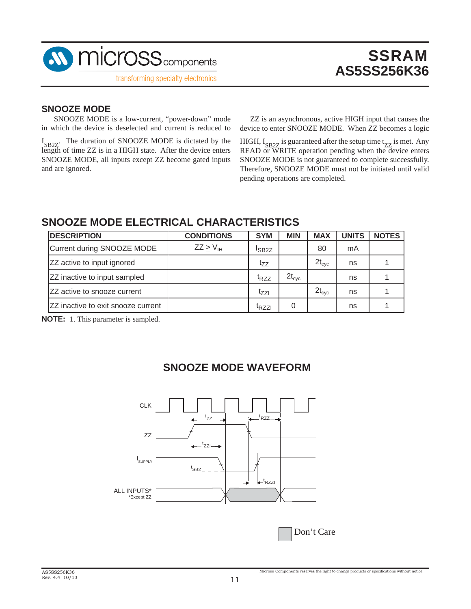

#### **SNOOZE MODE**

SNOOZE MODE is a low-current, "power-down" mode in which the device is deselected and current is reduced to

I<sub>SB2Z</sub>. The duration of SNOOZE MODE is dictated by the length of time ZZ is in a HIGH state. After the device enters SNOOZE MODE, all inputs except ZZ become gated inputs and are ignored.

 ZZ is an asynchronous, active HIGH input that causes the device to enter SNOOZE MODE. When ZZ becomes a logic

HIGH,  $I_{SB2Z}$  is guaranteed after the setup time  $t_{ZZ}$  is met. Any READ or WRITE operation pending when the device enters SNOOZE MODE is not guaranteed to complete successfully. Therefore, SNOOZE MODE must not be initiated until valid pending operations are completed.

### **SNOOZE MODE ELECTRICAL CHARACTERISTICS**

| <b>DESCRIPTION</b>                 | <b>CONDITIONS</b>       | <b>SYM</b>        | <b>MIN</b>     | <b>MAX</b>     | <b>UNITS</b> | <b>NOTES</b> |
|------------------------------------|-------------------------|-------------------|----------------|----------------|--------------|--------------|
| Current during SNOOZE MODE         | $ZZ \geq V_{\text{IH}}$ | <sup>I</sup> SB2Z |                | 80             | mA           |              |
| ZZ active to input ignored         |                         | tzz               |                | $2t_{\rm cyc}$ | ns           |              |
| ZZ inactive to input sampled       |                         | t <sub>RZZ</sub>  | $2t_{\rm cyc}$ |                | ns           |              |
| IZZ active to snooze current       |                         | tzzi              |                | $2t_{\rm cyc}$ | ns           |              |
| ZZ inactive to exit snooze current |                         | <sup>I</sup> RZZI |                |                | ns           |              |

**NOTE:** 1. This parameter is sampled.

### **SNOOZE MODE WAVEFORM**



Don't Care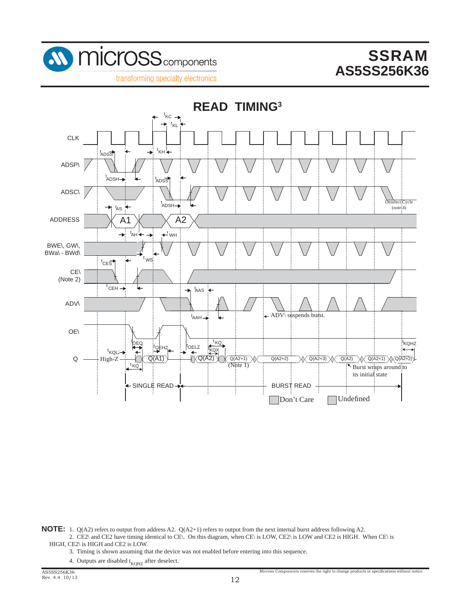

transforming specialty electronics



**NOTE:** 1. Q(A2) refers to output from address A2. Q(A2+1) refers to output from the next internal burst address following A2.

- 2. CE2\ and CE2 have timing identical to CE\. On this diagram, when CE\ is LOW, CE2\ is LOW and CE2 is HIGH. When CE\ is HIGH, CE2\ is HIGH and CE2 is LOW.
	- 3. Timing is shown assuming that the device was not enabled before entering into this sequence.
	- 4. Outputs are disabled  $t_{KOHZ}$  after deselect.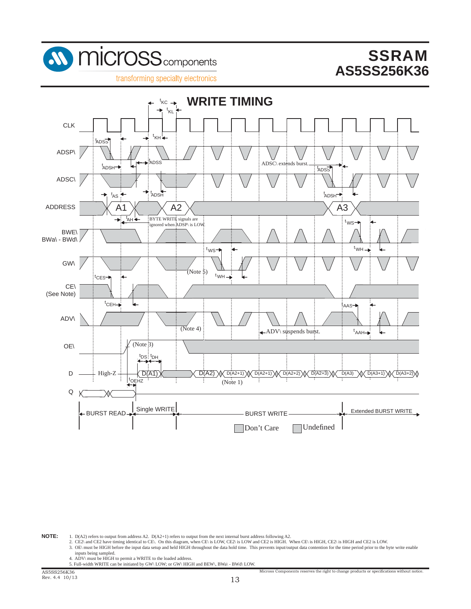





**NOTE:** 1. D(A2) refers to output from address A2. D(A2+1) refers to output from the next internal burst address following A2.

2. CE2\ and CE2 have timing identical to CE\. On this diagram, when CE\ is LOW, CE2\ is LOW and CE2 is HIGH, When CE\ is HIGH, CE2\ is HIGH and CE2 is LOW. 3. OE\ must be HIGH before the input data setup and held HIGH throughout the data hold time. This prevents input/output data contention for the time period prior to the byte write enable

- inputs being sampled. 4. ADV\ must be HIGH to permit a WRITE to the loaded address.
- 5. Full-width WRITE can be initiated by GW\ LOW; or GW\ HIGH and BEW\, BWa\ BWd\ LOW.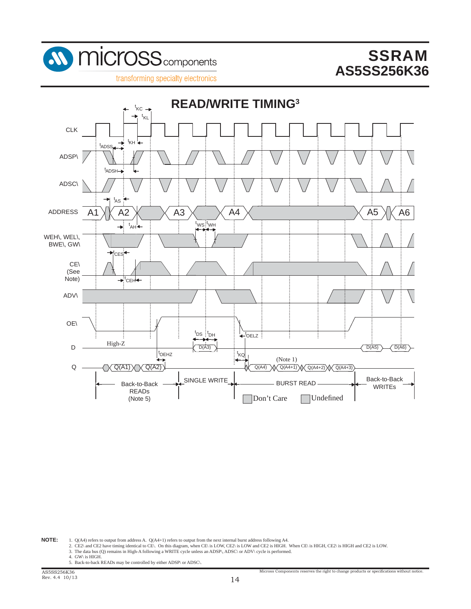

transforming specialty electronics



**NOTE:** 1. Q(A4) refers to output from address A. Q(A4+1) refers to output from the next internal burst address following A4.<br>2. CE2\ and CE2 have timing identical to CE\. On this diagram, when CE\ is LOW, CE2\ is LOW and

3. The data bus (Q) remains in High-A following a WRITE cycle unless an ADSP\, ADSC\ or ADV\ cycle is performed. 4. GW\ is HIGH.

5. Back-to-back READs may be controlled by either ADSP\ or ADSC\.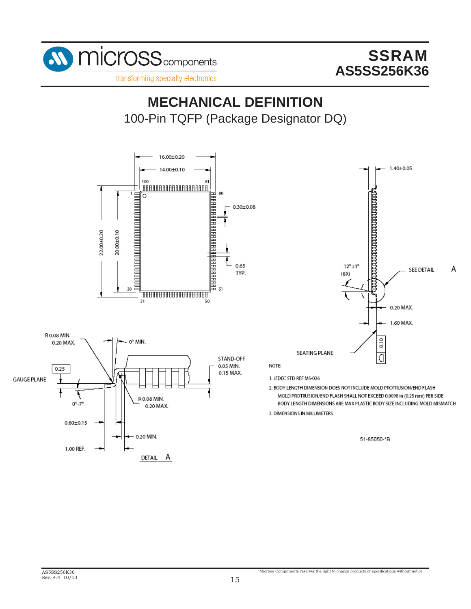

transforming specialty electronics

# 100-Pin TQFP (Package Designator DQ) **MECHANICAL DEFINITION**

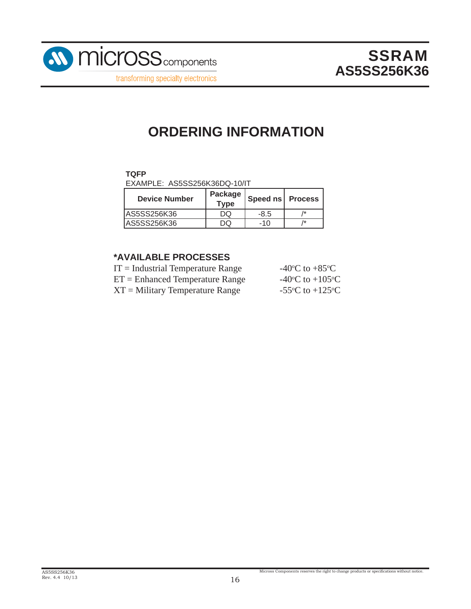

# **ORDERING INFORMATION**

### **TQFP**

EXAMPLE: AS5SS256K36DQ-10/IT

| <b>Device Number</b> | Package<br><b>Type</b> | Speed ns Process |    |
|----------------------|------------------------|------------------|----|
| AS5SS256K36          |                        | -8.5             | /* |
| AS5SS256K36          |                        | -10              | /* |

#### **\*AVAILABLE PROCESSES**

| -40 <sup>o</sup> C to +85 <sup>o</sup> C      |
|-----------------------------------------------|
| -40 $\rm{^{\circ}C}$ to +105 $\rm{^{\circ}C}$ |
| -55 $\rm{^{\circ}C}$ to +125 $\rm{^{\circ}C}$ |
|                                               |